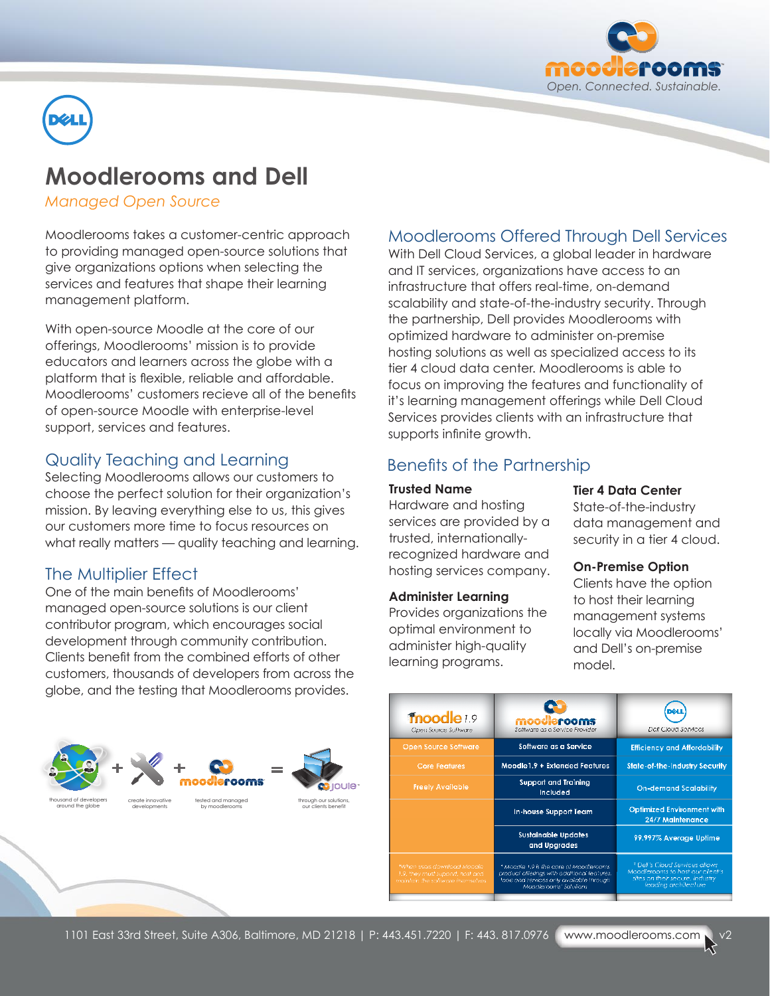



# **Moodlerooms and Dell**

*Managed Open Source*

Moodlerooms takes a customer-centric approach to providing managed open-source solutions that give organizations options when selecting the services and features that shape their learning management platform.

With open-source Moodle at the core of our offerings, Moodlerooms' mission is to provide educators and learners across the globe with a platform that is flexible, reliable and affordable. Moodlerooms' customers recieve all of the benefits of open-source Moodle with enterprise-level support, services and features.

## Quality Teaching and Learning

Selecting Moodlerooms allows our customers to choose the perfect solution for their organization's mission. By leaving everything else to us, this gives our customers more time to focus resources on what really matters — quality teaching and learning.

## The Multiplier Effect

One of the main benefits of Moodlerooms' managed open-source solutions is our client contributor program, which encourages social development through community contribution. Clients benefit from the combined efforts of other customers, thousands of developers from across the globe, and the testing that Moodlerooms provides.

# Moodlerooms Offered Through Dell Services

With Dell Cloud Services, a global leader in hardware and IT services, organizations have access to an infrastructure that offers real-time, on-demand scalability and state-of-the-industry security. Through the partnership, Dell provides Moodlerooms with optimized hardware to administer on-premise hosting solutions as well as specialized access to its tier 4 cloud data center. Moodlerooms is able to focus on improving the features and functionality of it's learning management offerings while Dell Cloud Services provides clients with an infrastructure that supports infinite growth.

# Benefits of the Partnership

### **Trusted Name**

Hardware and hosting services are provided by a trusted, internationallyrecognized hardware and hosting services company.

### **Administer Learning**

Provides organizations the optimal environment to administer high-quality learning programs.

### **Tier 4 Data Center**

State-of-the-industry data management and security in a tier 4 cloud.

### **On-Premise Option**

Clients have the option to host their learning management systems locally via Moodlerooms' and Dell's on-premise model.